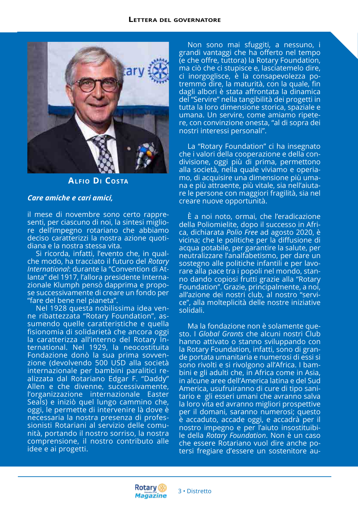

**Alfio Di Costa**

## *Care amiche e cari amici,*

il mese di novembre sono certo rappresenti, per ciascuno di noi, la sintesi migliore dell'impegno rotariano che abbiamo deciso caratterizzi la nostra azione quotidiana e la nostra stessa vita.

Si ricorda, infatti, l'evento che, in qualche modo, ha tracciato il futuro del *Rotary International*: durante la "Convention di Atlanta" del 1917, l'allora presidente Internazionale Klumph pensò dapprima e propose successivamente di creare un fondo per "fare del bene nel pianeta".

Nel 1928 questa nobilissima idea venne ribattezzata "Rotary Foundation", assumendo quelle caratteristiche e quella fisionomia di solidarietà che ancora oggi la caratterizza all'interno del Rotary International. Nel 1929, la neocostituita Fondazione donò la sua prima sovvenzione (devolvendo 500 USD alla società internazionale per bambini paralitici realizzata dal Rotariano Edgar F. "Daddy" Allen e che divenne, successivamente, l'organizzazione internazionale Easter Seals) e iniziò quel lungo cammino che, oggi, le permette di intervenire là dove è necessaria la nostra presenza di professionisti Rotariani al servizio delle comunità, portando il nostro sorriso, la nostra comprensione, il nostro contributo alle idee e ai progetti.

Non sono mai sfuggiti, a nessuno, i grandi vantaggi che ha offerto nel tempo (e che offre, tuttora) la Rotary Foundation, ma ciò che ci stupisce e, lasciatemelo dire, ci inorgoglisce, è la consapevolezza potremmo dire, la maturità, con la quale, fin dagli albori è stata affrontata la dinamica del "Servire" nella tangibilità dei progetti in tutta la loro dimensione storica, spaziale e umana. Un servire, come amiamo ripetere, con convinzione onesta, "al di sopra dei nostri interessi personali".

La "Rotary Foundation" ci ha insegnato che i valori della cooperazione e della condivisione, oggi più di prima, permettono alla società, nella quale viviamo e operiamo, di acquisire una dimensione più umana e più attraente, più vitale, sia nell'aiutare le persone con maggiori fragilità, sia nel creare nuove opportunità.

È a noi noto, ormai, che l'eradicazione della Poliomielite, dopo il successo in Africa, dichiarata *Polio Free* ad agosto 2020, è vicina; che le politiche per la diffusione di acqua potabile, per garantire la salute, per neutralizzare l'analfabetismo, per dare un sostegno alle politiche infantili e per lavorare alla pace tra i popoli nel mondo, stanno dando copiosi frutti grazie alla "Rotary Foundation". Grazie, principalmente, a noi, all'azione dei nostri club, al nostro "service", alla molteplicità delle nostre iniziative solidali.

Ma la fondazione non è solamente questo. I *Global Grants* che alcuni nostri Club hanno attivato o stanno sviluppando con la Rotary Foundation, infatti, sono di grande portata umanitaria e numerosi di essi si sono rivolti e si rivolgono all'Africa. I bambini e gli adulti che, in Africa come in Asia, in alcune aree dell'America latina e del Sud America, usufruiranno di cure di tipo sanitario e gli esseri umani che avranno salva la loro vita ed avranno migliori prospettive per il domani, saranno numerosi; questo è accaduto, accade oggi, e accadrà per il nostro impegno e per l'aiuto insostituibile della *Rotary Foundation*. Non è un caso che essere Rotariano vuol dire anche potersi fregiare d'essere un sostenitore au-

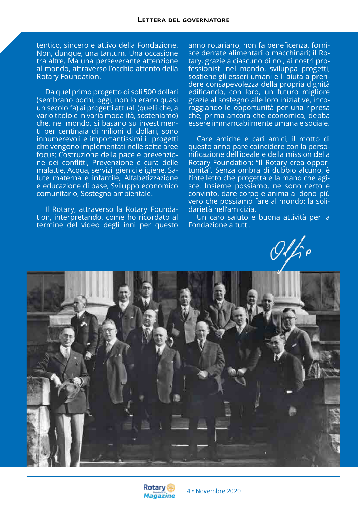tentico, sincero e attivo della Fondazione. Non, dunque, una tantum. Una occasione tra altre. Ma una perseverante attenzione al mondo, attraverso l'occhio attento della Rotary Foundation.

Da quel primo progetto di soli 500 dollari (sembrano pochi, oggi, non lo erano quasi un secolo fa) ai progetti attuali (quelli che, a vario titolo e in varia modalità, sosteniamo) che, nel mondo, si basano su investimenti per centinaia di milioni di dollari, sono innumerevoli e importantissimi i progetti che vengono implementati nelle sette aree focus: Costruzione della pace e prevenzione dei conflitti, Prevenzione e cura delle malattie, Acqua, servizi igienici e igiene, Salute materna e infantile, Alfabetizzazione e educazione di base, Sviluppo economico comunitario, Sostegno ambientale.

Il Rotary, attraverso la Rotary Foundation, interpretando, come ho ricordato al termine del video degli inni per questo anno rotariano, non fa beneficenza, fornisce derrate alimentari o macchinari; il Rotary, grazie a ciascuno di noi, ai nostri professionisti nel mondo, sviluppa progetti, sostiene gli esseri umani e li ajuta a prendere consapevolezza della propria dignità edificando, con loro, un futuro migliore grazie al sostegno alle loro iniziative, incoraggiando le opportunità per una ripresa che, prima ancora che economica, debba essere immancabilmente umana e sociale.

Care amiche e cari amici, il motto di questo anno pare coincidere con la personificazione dell'ideale e della mission della Rotary Foundation: "Il Rotary crea opportunità". Senza ombra di dubbio alcuno, è l'intelletto che progetta e la mano che agisce. Insieme possiamo, ne sono certo e convinto, dare corpo e anima al dono più vero che possiamo fare al mondo: la solidarietà nell'amicizia.

Un caro saluto e buona attività per la Fondazione a tutti.



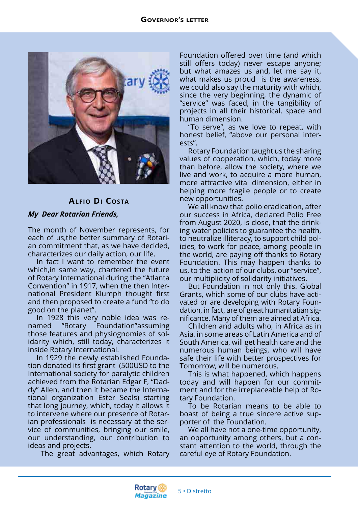

## **Alfio Di Costa**

## *My Dear Rotarian Friends,*

The month of November represents, for each of us,the better summary of Rotarian commitment that, as we have decided, characterizes our daily action, our life.

In fact I want to remember the event which,in same way, chartered the future of Rotary International during the "Atlanta Convention" in 1917, when the then International President Klumph thought first and then proposed to create a fund "to do good on the planet".

In 1928 this very noble idea was renamed "Rotary Foundation"assuming those features and physiognomies of solidarity which, still today, characterizes it inside Rotary International.

In 1929 the newly established Foundation donated its first grant (500USD to the International society for paralytic children achieved from the Rotarian Edgar F, "Daddy" Allen, and then it became the International organization Ester Seals) starting that long journey, which, today it allows it to intervene where our presence of Rotarian professionals is necessary at the service of communities, bringing our smile, our understanding, our contribution to ideas and projects.

The great advantages, which Rotary

Foundation offered over time (and which still offers today) never escape anyone; but what amazes us and, let me say it, what makes us proud is the awareness, we could also say the maturity with which, since the very beginning, the dynamic of "service" was faced, in the tangibility of projects in all their historical, space and human dimension.

"To serve", as we love to repeat, with honest belief, "above our personal interests".

Rotary Foundation taught us the sharing values of cooperation, which, today more than before, allow the society, where we live and work, to acquire a more human, more attractive vital dimension, either in helping more fragile people or to create new opportunities.

We all know that polio eradication, after our success in Africa, declared Polio Free from August 2020, is close, that the drinking water policies to guarantee the health, to neutralize illiteracy, to support child policies, to work for peace, among people in the world, are paying off thanks to Rotary Foundation. This may happen thanks to us, to the action of our clubs, our "service", our multiplicity of solidarity initiatives.

But Foundation in not only this. Global Grants, which some of our clubs have activated or are developing with Rotary Foundation, in fact, are of great humanitatian significance. Many of them are aimed at Africa.

Children and adults who, in Africa as in Asia, in some areas of Latin America and of South America, will get health care and the numerous human beings, who will have safe their life with better prospectives for Tomorrow, will be numerous.

This is what happened, which happens today and will happen for our commitment and for the irreplaceable help of Rotary Foundation.

To be Rotarian means to be able to boast of being a true sincere active supporter of the Foundation.

We all have not a one-time opportunity, an opportunity among others, but a constant attention to the world, through the careful eye of Rotary Foundation.